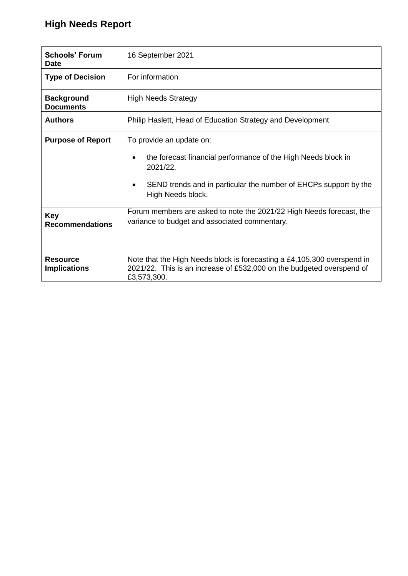# **High Needs Report**

| <b>Schools' Forum</b><br><b>Date</b>   | 16 September 2021                                                                                                                                                                                                |  |  |  |
|----------------------------------------|------------------------------------------------------------------------------------------------------------------------------------------------------------------------------------------------------------------|--|--|--|
| <b>Type of Decision</b>                | For information                                                                                                                                                                                                  |  |  |  |
| <b>Background</b><br><b>Documents</b>  | <b>High Needs Strategy</b>                                                                                                                                                                                       |  |  |  |
| <b>Authors</b>                         | Philip Haslett, Head of Education Strategy and Development                                                                                                                                                       |  |  |  |
| <b>Purpose of Report</b>               | To provide an update on:<br>the forecast financial performance of the High Needs block in<br>$\bullet$<br>2021/22.<br>SEND trends and in particular the number of EHCPs support by the<br>٠<br>High Needs block. |  |  |  |
| <b>Key</b><br><b>Recommendations</b>   | Forum members are asked to note the 2021/22 High Needs forecast, the<br>variance to budget and associated commentary.                                                                                            |  |  |  |
| <b>Resource</b><br><b>Implications</b> | Note that the High Needs block is forecasting a £4,105,300 overspend in<br>2021/22. This is an increase of £532,000 on the budgeted overspend of<br>£3,573,300.                                                  |  |  |  |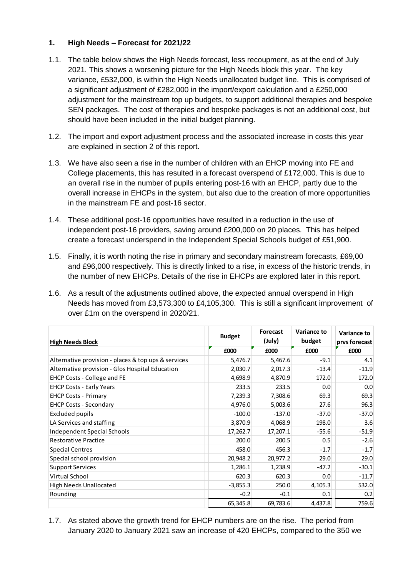### **1. High Needs – Forecast for 2021/22**

- 1.1. The table below shows the High Needs forecast, less recoupment, as at the end of July 2021. This shows a worsening picture for the High Needs block this year. The key variance, £532,000, is within the High Needs unallocated budget line. This is comprised of a significant adjustment of £282,000 in the import/export calculation and a £250,000 adjustment for the mainstream top up budgets, to support additional therapies and bespoke SEN packages. The cost of therapies and bespoke packages is not an additional cost, but should have been included in the initial budget planning.
- 1.2. The import and export adjustment process and the associated increase in costs this year are explained in section 2 of this report.
- 1.3. We have also seen a rise in the number of children with an EHCP moving into FE and College placements, this has resulted in a forecast overspend of £172,000. This is due to an overall rise in the number of pupils entering post-16 with an EHCP, partly due to the overall increase in EHCPs in the system, but also due to the creation of more opportunities in the mainstream FE and post-16 sector.
- 1.4. These additional post-16 opportunities have resulted in a reduction in the use of independent post-16 providers, saving around £200,000 on 20 places. This has helped create a forecast underspend in the Independent Special Schools budget of £51,900.
- 1.5. Finally, it is worth noting the rise in primary and secondary mainstream forecasts, £69,00 and £96,000 respectively. This is directly linked to a rise, in excess of the historic trends, in the number of new EHCPs. Details of the rise in EHCPs are explored later in this report.
- 1.6. As a result of the adjustments outlined above, the expected annual overspend in High Needs has moved from £3,573,300 to £4,105,300. This is still a significant improvement of over £1m on the overspend in 2020/21.

| <b>High Needs Block</b>                             | <b>Budget</b> | Forecast<br>(July) | Variance to<br>budget | Variance to<br>prys forecast |
|-----------------------------------------------------|---------------|--------------------|-----------------------|------------------------------|
|                                                     | £000          | £000               | £000                  | £000                         |
| Alternative provision - places & top ups & services | 5,476.7       | 5,467.6            | $-9.1$                | 4.1                          |
| Alternative provision - Glos Hospital Education     | 2,030.7       | 2,017.3            | $-13.4$               | $-11.9$                      |
| EHCP Costs - College and FE                         | 4,698.9       | 4,870.9            | 172.0                 | 172.0                        |
| <b>EHCP Costs - Early Years</b>                     | 233.5         | 233.5              | 0.0                   | 0.0                          |
| <b>EHCP Costs - Primary</b>                         | 7,239.3       | 7,308.6            | 69.3                  | 69.3                         |
| <b>EHCP Costs - Secondary</b>                       | 4,976.0       | 5,003.6            | 27.6                  | 96.3                         |
| Excluded pupils                                     | $-100.0$      | $-137.0$           | $-37.0$               | $-37.0$                      |
| LA Services and staffing                            | 3,870.9       | 4,068.9            | 198.0                 | 3.6                          |
| <b>Independent Special Schools</b>                  | 17,262.7      | 17,207.1           | $-55.6$               | $-51.9$                      |
| <b>Restorative Practice</b>                         | 200.0         | 200.5              | 0.5                   | $-2.6$                       |
| <b>Special Centres</b>                              | 458.0         | 456.3              | $-1.7$                | $-1.7$                       |
| Special school provision                            | 20,948.2      | 20,977.2           | 29.0                  | 29.0                         |
| <b>Support Services</b>                             | 1,286.1       | 1,238.9            | $-47.2$               | $-30.1$                      |
| <b>Virtual School</b>                               | 620.3         | 620.3              | 0.0                   | $-11.7$                      |
| <b>High Needs Unallocated</b>                       | $-3,855.3$    | 250.0              | 4,105.3               | 532.0                        |
| Rounding                                            | $-0.2$        | $-0.1$             | 0.1                   | 0.2                          |
|                                                     | 65,345.8      | 69,783.6           | 4,437.8               | 759.6                        |

1.7. As stated above the growth trend for EHCP numbers are on the rise. The period from January 2020 to January 2021 saw an increase of 420 EHCPs, compared to the 350 we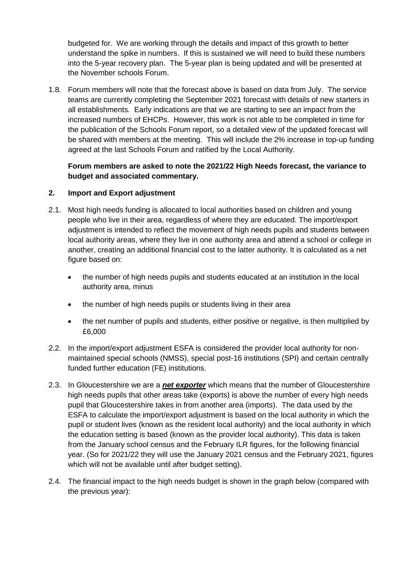budgeted for. We are working through the details and impact of this growth to better understand the spike in numbers. If this is sustained we will need to build these numbers into the 5-year recovery plan. The 5-year plan is being updated and will be presented at the November schools Forum.

1.8. Forum members will note that the forecast above is based on data from July. The service teams are currently completing the September 2021 forecast with details of new starters in all establishments. Early indications are that we are starting to see an impact from the increased numbers of EHCPs. However, this work is not able to be completed in time for the publication of the Schools Forum report, so a detailed view of the updated forecast will be shared with members at the meeting. This will include the 2% increase in top-up funding agreed at the last Schools Forum and ratified by the Local Authority.

## **Forum members are asked to note the 2021/22 High Needs forecast, the variance to budget and associated commentary.**

#### **2. Import and Export adjustment**

- 2.1. Most high needs funding is allocated to local authorities based on children and young people who live in their area, regardless of where they are educated. The import/export adjustment is intended to reflect the movement of high needs pupils and students between local authority areas, where they live in one authority area and attend a school or college in another, creating an additional financial cost to the latter authority. It is calculated as a net figure based on:
	- the number of high needs pupils and students educated at an institution in the local authority area, minus
	- the number of high needs pupils or students living in their area
	- the net number of pupils and students, either positive or negative, is then multiplied by £6,000
- 2.2. In the import/export adjustment ESFA is considered the provider local authority for nonmaintained special schools (NMSS), special post-16 institutions (SPI) and certain centrally funded further education (FE) institutions.
- 2.3. In Gloucestershire we are a *net exporter* which means that the number of Gloucestershire high needs pupils that other areas take (exports) is above the number of every high needs pupil that Gloucestershire takes in from another area (imports). The data used by the ESFA to calculate the import/export adjustment is based on the local authority in which the pupil or student lives (known as the resident local authority) and the local authority in which the education setting is based (known as the provider local authority). This data is taken from the January school census and the February ILR figures, for the following financial year. (So for 2021/22 they will use the January 2021 census and the February 2021, figures which will not be available until after budget setting).
- 2.4. The financial impact to the high needs budget is shown in the graph below (compared with the previous year):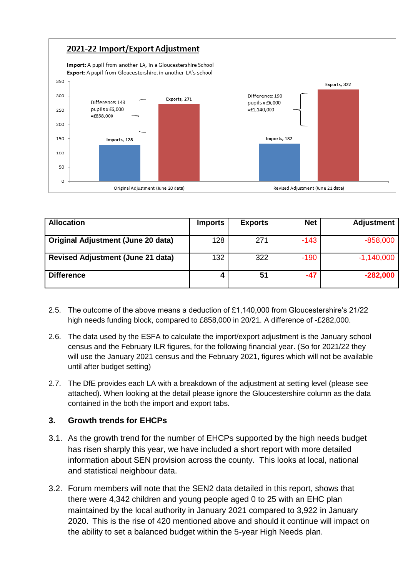

| <b>Allocation</b>                        | <b>Imports</b> | <b>Exports</b> | <b>Net</b> | <b>Adjustment</b> |
|------------------------------------------|----------------|----------------|------------|-------------------|
| Original Adjustment (June 20 data)       | 128            | 271            | $-143$     | $-858,000$        |
| <b>Revised Adjustment (June 21 data)</b> | 132            | 322            | $-190$     | $-1,140,000$      |
| <b>Difference</b>                        |                | 51             | -47        | $-282,000$        |

- 2.5. The outcome of the above means a deduction of £1,140,000 from Gloucestershire's 21/22 high needs funding block, compared to £858,000 in 20/21. A difference of -£282,000.
- 2.6. The data used by the ESFA to calculate the import/export adjustment is the January school census and the February ILR figures, for the following financial year. (So for 2021/22 they will use the January 2021 census and the February 2021, figures which will not be available until after budget setting)
- 2.7. The DfE provides each LA with a breakdown of the adjustment at setting level (please see attached). When looking at the detail please ignore the Gloucestershire column as the data contained in the both the import and export tabs.

#### **3. Growth trends for EHCPs**

- 3.1. As the growth trend for the number of EHCPs supported by the high needs budget has risen sharply this year, we have included a short report with more detailed information about SEN provision across the county. This looks at local, national and statistical neighbour data.
- 3.2. Forum members will note that the SEN2 data detailed in this report, shows that there were 4,342 children and young people aged 0 to 25 with an EHC plan maintained by the local authority in January 2021 compared to 3,922 in January 2020. This is the rise of 420 mentioned above and should it continue will impact on the ability to set a balanced budget within the 5-year High Needs plan.